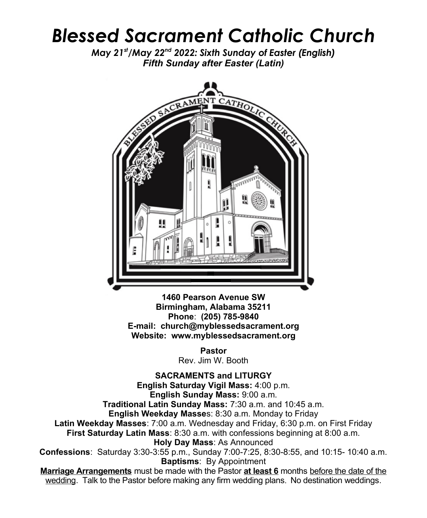## *Blessed Sacrament Catholic Church*

*May 21st/May 22nd 2022: Sixth Sunday of Easter (English) Fifth Sunday after Easter (Latin)*



**1460 Pearson Avenue SW Birmingham, Alabama 35211 Phone**: **(205) 785-9840 E-mail: church@myblessedsacrament.org Website: www.myblessedsacrament.org**

> **Pastor** Rev. Jim W. Booth

**SACRAMENTS and LITURGY English Saturday Vigil Mass:** 4:00 p.m. **English Sunday Mass:** 9:00 a.m. **Traditional Latin Sunday Mass:** 7:30 a.m. and 10:45 a.m. **English Weekday Masse**s: 8:30 a.m. Monday to Friday **Latin Weekday Masses**: 7:00 a.m. Wednesday and Friday, 6:30 p.m. on First Friday **First Saturday Latin Mass**: 8:30 a.m. with confessions beginning at 8:00 a.m. **Holy Day Mass**: As Announced **Confessions**: Saturday 3:30-3:55 p.m., Sunday 7:00-7:25, 8:30-8:55, and 10:15- 10:40 a.m. **Baptisms**: By Appointment **Marriage Arrangements** must be made with the Pastor **at least 6** months before the date of the wedding. Talk to the Pastor before making any firm wedding plans. No destination weddings.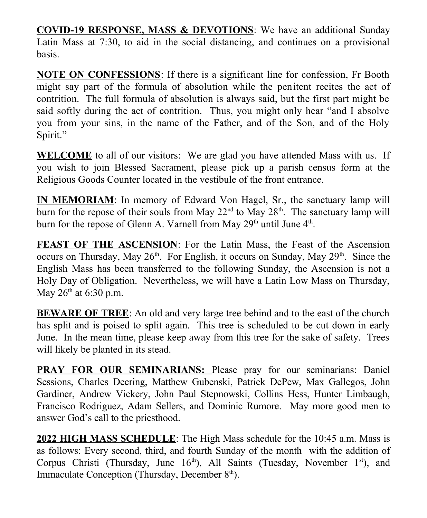**COVID-19 RESPONSE, MASS & DEVOTIONS**: We have an additional Sunday Latin Mass at 7:30, to aid in the social distancing, and continues on a provisional basis.

**NOTE ON CONFESSIONS**: If there is a significant line for confession, Fr Booth might say part of the formula of absolution while the penitent recites the act of contrition. The full formula of absolution is always said, but the first part might be said softly during the act of contrition. Thus, you might only hear "and I absolve you from your sins, in the name of the Father, and of the Son, and of the Holy Spirit."

**WELCOME** to all of our visitors: We are glad you have attended Mass with us. If you wish to join Blessed Sacrament, please pick up a parish census form at the Religious Goods Counter located in the vestibule of the front entrance.

**IN MEMORIAM**: In memory of Edward Von Hagel, Sr., the sanctuary lamp will burn for the repose of their souls from May  $22<sup>nd</sup>$  to May  $28<sup>th</sup>$ . The sanctuary lamp will burn for the repose of Glenn A. Varnell from May  $29<sup>th</sup>$  until June  $4<sup>th</sup>$ .

**FEAST OF THE ASCENSION:** For the Latin Mass, the Feast of the Ascension occurs on Thursday, May  $26<sup>th</sup>$ . For English, it occurs on Sunday, May  $29<sup>th</sup>$ . Since the English Mass has been transferred to the following Sunday, the Ascension is not a Holy Day of Obligation. Nevertheless, we will have a Latin Low Mass on Thursday, May  $26<sup>th</sup>$  at 6:30 p.m.

**BEWARE OF TREE**: An old and very large tree behind and to the east of the church has split and is poised to split again. This tree is scheduled to be cut down in early June. In the mean time, please keep away from this tree for the sake of safety. Trees will likely be planted in its stead.

**PRAY FOR OUR SEMINARIANS:** Please pray for our seminarians: Daniel Sessions, Charles Deering, Matthew Gubenski, Patrick DePew, Max Gallegos, John Gardiner, Andrew Vickery, John Paul Stepnowski, Collins Hess, Hunter Limbaugh, Francisco Rodriguez, Adam Sellers, and Dominic Rumore. May more good men to answer God's call to the priesthood.

**2022 HIGH MASS SCHEDULE**: The High Mass schedule for the 10:45 a.m. Mass is as follows: Every second, third, and fourth Sunday of the month with the addition of Corpus Christi (Thursday, June  $16<sup>th</sup>$ ), All Saints (Tuesday, November  $1<sup>st</sup>$ ), and Immaculate Conception (Thursday, December  $8<sup>th</sup>$ ).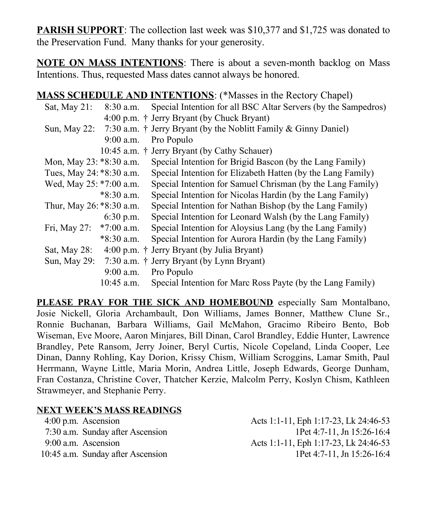**PARISH SUPPORT**: The collection last week was \$10,377 and \$1,725 was donated to the Preservation Fund. Many thanks for your generosity.

**NOTE ON MASS INTENTIONS**: There is about a seven-month backlog on Mass Intentions. Thus, requested Mass dates cannot always be honored.

## **MASS SCHEDULE AND INTENTIONS**: (\*Masses in the Rectory Chapel)

| Sat, May 21:             | $8:30$ a.m.  | Special Intention for all BSC Altar Servers (by the Sampedros)          |
|--------------------------|--------------|-------------------------------------------------------------------------|
|                          |              | 4:00 p.m. † Jerry Bryant (by Chuck Bryant)                              |
| Sun, May 22:             |              | 7:30 a.m. $\dagger$ Jerry Bryant (by the Noblitt Family & Ginny Daniel) |
|                          | $9:00$ a.m.  | Pro Populo                                                              |
|                          |              | 10:45 a.m. † Jerry Bryant (by Cathy Schauer)                            |
| Mon, May 23: *8:30 a.m.  |              | Special Intention for Brigid Bascon (by the Lang Family)                |
| Tues, May 24: *8:30 a.m. |              | Special Intention for Elizabeth Hatten (by the Lang Family)             |
| Wed, May 25: *7:00 a.m.  |              | Special Intention for Samuel Chrisman (by the Lang Family)              |
|                          | $*8:30$ a.m. | Special Intention for Nicolas Hardin (by the Lang Family)               |
| Thur, May 26: *8:30 a.m. |              | Special Intention for Nathan Bishop (by the Lang Family)                |
|                          | $6:30$ p.m.  | Special Intention for Leonard Walsh (by the Lang Family)                |
| Fri, May 27:             | $*7:00$ a.m. | Special Intention for Aloysius Lang (by the Lang Family)                |
|                          | *8:30 a.m.   | Special Intention for Aurora Hardin (by the Lang Family)                |
| Sat, May 28:             |              | 4:00 p.m. † Jerry Bryant (by Julia Bryant)                              |
| Sun, May 29:             |              | 7:30 a.m. † Jerry Bryant (by Lynn Bryant)                               |
|                          | $9:00$ a.m.  | Pro Populo                                                              |
|                          | $10:45$ a.m. | Special Intention for Marc Ross Payte (by the Lang Family)              |

**PLEASE PRAY FOR THE SICK AND HOMEBOUND** especially Sam Montalbano, Josie Nickell, Gloria Archambault, Don Williams, James Bonner, Matthew Clune Sr., Ronnie Buchanan, Barbara Williams, Gail McMahon, Gracimo Ribeiro Bento, Bob Wiseman, Eve Moore, Aaron Minjares, Bill Dinan, Carol Brandley, Eddie Hunter, Lawrence Brandley, Pete Ransom, Jerry Joiner, Beryl Curtis, Nicole Copeland, Linda Cooper, Lee Dinan, Danny Rohling, Kay Dorion, Krissy Chism, William Scroggins, Lamar Smith, Paul Herrmann, Wayne Little, Maria Morin, Andrea Little, Joseph Edwards, George Dunham, Fran Costanza, Christine Cover, Thatcher Kerzie, Malcolm Perry, Koslyn Chism, Kathleen Strawmeyer, and Stephanie Perry.

## **NEXT WEEK'S MASS READINGS**

4:00 p.m. Ascension Acts 1:1-11, Eph 1:17-23, Lk 24:46-53 7:30 a.m. Sunday after Ascension 1Pet 4:7-11, Jn 15:26-16:4 9:00 a.m. Ascension Acts 1:1-11, Eph 1:17-23, Lk 24:46-53 10:45 a.m. Sunday after Ascension 1Pet 4:7-11, Jn 15:26-16:4